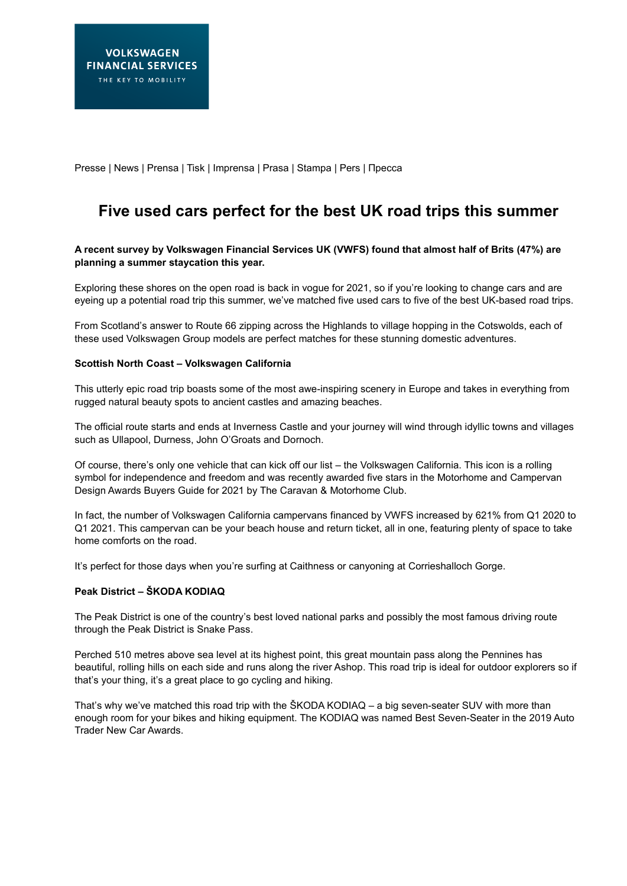Presse | News | Prensa | Tisk | Imprensa | Prasa | Stampa | Pers | Пресса

# **Five used cars perfect for the best UK road trips this summer**

# **A recent survey by Volkswagen Financial Services UK (VWFS) found that almost half of Brits (47%) are planning a summer staycation this year.**

Exploring these shores on the open road is back in vogue for 2021, so if you're looking to change cars and are eyeing up a potential road trip this summer, we've matched five used cars to five of the best UK-based road trips.

From Scotland's answer to Route 66 zipping across the Highlands to village hopping in the Cotswolds, each of these used Volkswagen Group models are perfect matches for these stunning domestic adventures.

# **Scottish North Coast – Volkswagen California**

This utterly epic road trip boasts some of the most awe-inspiring scenery in Europe and takes in everything from rugged natural beauty spots to ancient castles and amazing beaches.

The official route starts and ends at Inverness Castle and your journey will wind through idyllic towns and villages such as Ullapool, Durness, John O'Groats and Dornoch.

Of course, there's only one vehicle that can kick off our list – the Volkswagen California. This icon is a rolling symbol for independence and freedom and was recently awarded five stars in the Motorhome and Campervan Design Awards Buyers Guide for 2021 by The Caravan & Motorhome Club.

In fact, the number of Volkswagen California campervans financed by VWFS increased by 621% from Q1 2020 to Q1 2021. This campervan can be your beach house and return ticket, all in one, featuring plenty of space to take home comforts on the road.

It's perfect for those days when you're surfing at Caithness or canyoning at Corrieshalloch Gorge.

# **Peak District – ŠKODA KODIAQ**

The Peak District is one of the country's best loved national parks and possibly the most famous driving route through the Peak District is Snake Pass.

Perched 510 metres above sea level at its highest point, this great mountain pass along the Pennines has beautiful, rolling hills on each side and runs along the river Ashop. This road trip is ideal for outdoor explorers so if that's your thing, it's a great place to go cycling and hiking.

That's why we've matched this road trip with the ŠKODA KODIAQ – a big seven-seater SUV with more than enough room for your bikes and hiking equipment. The KODIAQ was named Best Seven-Seater in the 2019 Auto Trader New Car Awards.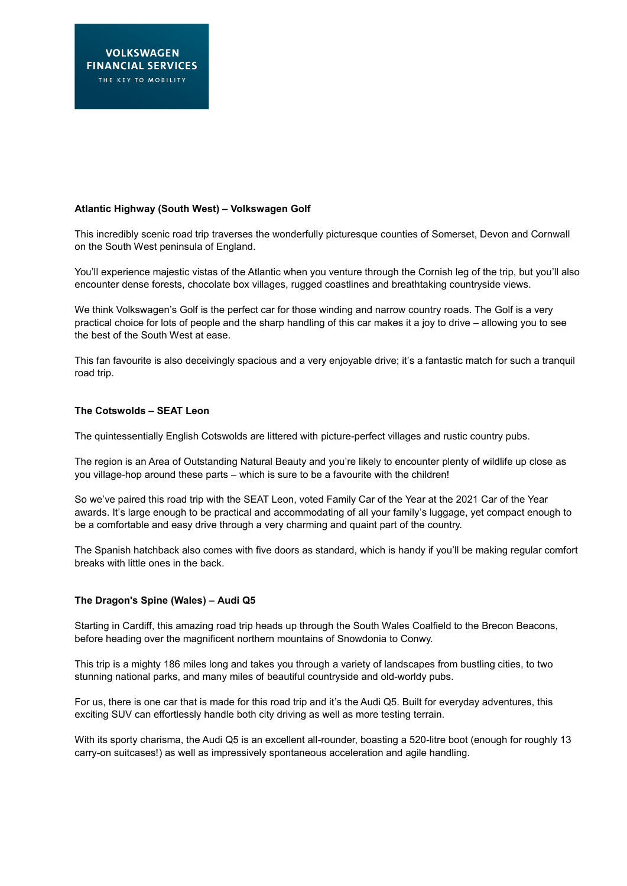# **Atlantic Highway (South West) – Volkswagen Golf**

This incredibly scenic road trip traverses the wonderfully picturesque counties of Somerset, Devon and Cornwall on the South West peninsula of England.

You'll experience majestic vistas of the Atlantic when you venture through the Cornish leg of the trip, but you'll also encounter dense forests, chocolate box villages, rugged coastlines and breathtaking countryside views.

We think Volkswagen's Golf is the perfect car for those winding and narrow country roads. The Golf is a very practical choice for lots of people and the sharp handling of this car makes it a joy to drive – allowing you to see the best of the South West at ease.

This fan favourite is also deceivingly spacious and a very enjoyable drive; it's a fantastic match for such a tranquil road trip.

#### **The Cotswolds – SEAT Leon**

The quintessentially English Cotswolds are littered with picture-perfect villages and rustic country pubs.

The region is an Area of Outstanding Natural Beauty and you're likely to encounter plenty of wildlife up close as you village-hop around these parts – which is sure to be a favourite with the children!

So we've paired this road trip with the SEAT Leon, voted Family Car of the Year at the 2021 Car of the Year awards. It's large enough to be practical and accommodating of all your family's luggage, yet compact enough to be a comfortable and easy drive through a very charming and quaint part of the country.

The Spanish hatchback also comes with five doors as standard, which is handy if you'll be making regular comfort breaks with little ones in the back.

#### **The Dragon's Spine (Wales) – Audi Q5**

Starting in Cardiff, this amazing road trip heads up through the South Wales Coalfield to the Brecon Beacons, before heading over the magnificent northern mountains of Snowdonia to Conwy.

This trip is a mighty 186 miles long and takes you through a variety of landscapes from bustling cities, to two stunning national parks, and many miles of beautiful countryside and old-worldy pubs.

For us, there is one car that is made for this road trip and it's the Audi Q5. Built for everyday adventures, this exciting SUV can effortlessly handle both city driving as well as more testing terrain.

With its sporty charisma, the Audi Q5 is an excellent all-rounder, boasting a 520-litre boot (enough for roughly 13 carry-on suitcases!) as well as impressively spontaneous acceleration and agile handling.